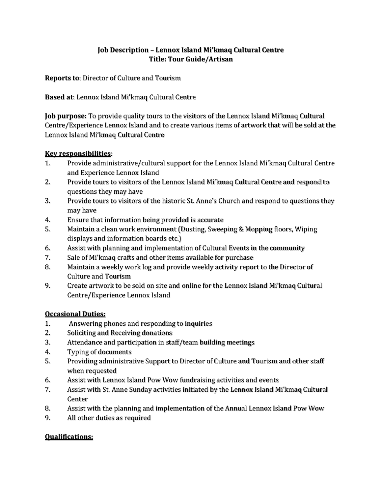# **Job Description – Lennox Island Mi'kmaq Cultural Centre Title: Tour Guide/Artisan**

**Reports to**: Director of Culture and Tourism

**Based at**: Lennox Island Mi'kmaq Cultural Centre

**Job purpose:** To provide quality tours to the visitors of the Lennox Island Mi'kmaq Cultural Centre/Experience Lennox Island and to create various items of artwork that will be sold at the Lennox Island Mi'kmaq Cultural Centre

### **Key responsibilities**:

- 1. Provide administrative/cultural support for the Lennox Island Mi'kmaq Cultural Centre and Experience Lennox Island
- 2. Provide tours to visitors of the Lennox Island Mi'kmaq Cultural Centre and respond to questions they may have
- 3. Provide tours to visitors of the historic St. Anne's Church and respond to questions they may have
- 4. Ensure that information being provided is accurate
- 5. Maintain a clean work environment (Dusting, Sweeping & Mopping floors, Wiping displays and information boards etc.)
- 6. Assist with planning and implementation of Cultural Events in the community
- 7. Sale of Mi'kmaq crafts and other items available for purchase
- 8. Maintain a weekly work log and provide weekly activity report to the Director of Culture and Tourism
- 9. Create artwork to be sold on site and online for the Lennox Island Mi'kmaq Cultural Centre/Experience Lennox Island

# **Occasional Duties:**

- 1. Answering phones and responding to inquiries
- 2. Soliciting and Receiving donations
- 3. Attendance and participation in staff/team building meetings
- 4. Typing of documents
- 5. Providing administrative Support to Director of Culture and Tourism and other staff when requested
- 6. Assist with Lennox Island Pow Wow fundraising activities and events
- 7. Assist with St. Anne Sunday activities initiated by the Lennox Island Mi'kmaq Cultural **Center**
- 8. Assist with the planning and implementation of the Annual Lennox Island Pow Wow
- 9. All other duties as required

#### **Qualifications:**